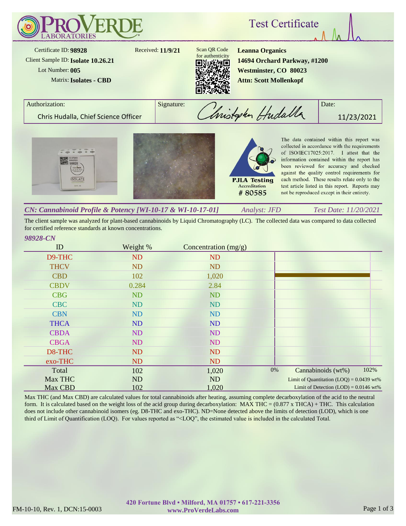

The client sample was analyzed for plant-based cannabinoids by Liquid Chromatography (LC). The collected data was compared to data collected for certified reference standards at known concentrations.

## *98928-CN*

| ID          | Weight %  | Concentration $(mg/g)$ |    |                                            |      |
|-------------|-----------|------------------------|----|--------------------------------------------|------|
| D9-THC      | <b>ND</b> | <b>ND</b>              |    |                                            |      |
| <b>THCV</b> | <b>ND</b> | <b>ND</b>              |    |                                            |      |
| <b>CBD</b>  | 102       | 1,020                  |    |                                            |      |
| <b>CBDV</b> | 0.284     | 2.84                   |    |                                            |      |
| <b>CBG</b>  | <b>ND</b> | <b>ND</b>              |    |                                            |      |
| <b>CBC</b>  | <b>ND</b> | <b>ND</b>              |    |                                            |      |
| <b>CBN</b>  | <b>ND</b> | <b>ND</b>              |    |                                            |      |
| <b>THCA</b> | <b>ND</b> | <b>ND</b>              |    |                                            |      |
| <b>CBDA</b> | <b>ND</b> | <b>ND</b>              |    |                                            |      |
| <b>CBGA</b> | ND        | ND                     |    |                                            |      |
| D8-THC      | ND        | <b>ND</b>              |    |                                            |      |
| exo-THC     | <b>ND</b> | <b>ND</b>              |    |                                            |      |
| Total       | 102       | 1,020                  | 0% | Cannabinoids (wt%)                         | 102% |
| Max THC     | ND        | ND                     |    | Limit of Quantitation $(LOQ) = 0.0439$ wt% |      |
| Max CBD     | 102       | 1,020                  |    | Limit of Detection $(LOD) = 0.0146$ wt%    |      |

Max THC (and Max CBD) are calculated values for total cannabinoids after heating, assuming complete decarboxylation of the acid to the neutral form. It is calculated based on the weight loss of the acid group during decarboxylation:  $MAX THE = (0.877 x THEA) + THE$ . This calculation does not include other cannabinoid isomers (eg. D8-THC and exo-THC). ND=None detected above the limits of detection (LOD), which is one third of Limit of Quantification (LOQ). For values reported as "<LOQ", the estimated value is included in the calculated Total.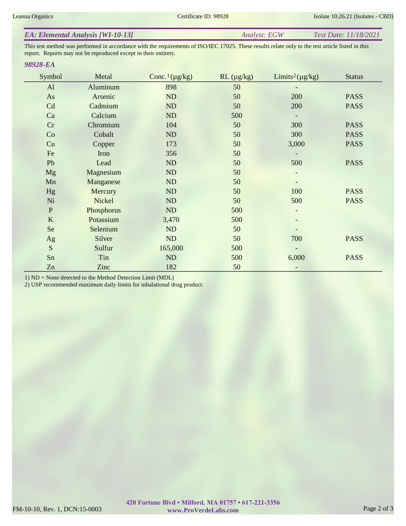| <b>EA: Elemental Analysis [WI-10-13]</b> | Analyst: EGW | <i>Test Date: 11/18/2021</i> |
|------------------------------------------|--------------|------------------------------|
|------------------------------------------|--------------|------------------------------|

This test method was performed in accordance with the requirements of ISO/IEC 17025. These results relate only to the test article listed in this report. Reports may not be reproduced except in their entirety.

## *98928-EA*

| Symbol       | Metal      | Conc. <sup>1</sup> ( $\mu$ g/kg) | $RL(\mu g/kg)$ | Limits <sup>2</sup> ( $\mu$ g/kg) | <b>Status</b> |
|--------------|------------|----------------------------------|----------------|-----------------------------------|---------------|
| AI           | Aluminum   | 898                              | 50             |                                   |               |
| As           | Arsenic    | ND                               | 50             | 200                               | <b>PASS</b>   |
| Cd           | Cadmium    | ND                               | 50             | 200                               | <b>PASS</b>   |
| Ca           | Calcium    | ND                               | 500            |                                   |               |
| Cr           | Chromium   | 104                              | 50             | 300                               | <b>PASS</b>   |
| Co           | Cobalt     | ND                               | 50             | 300                               | <b>PASS</b>   |
| Cu           | Copper     | 173                              | 50             | 3,000                             | <b>PASS</b>   |
| Fe           | Iron       | 356                              | 50             |                                   |               |
| Pb           | Lead       | ND                               | 50             | 500                               | <b>PASS</b>   |
| <b>Mg</b>    | Magnesium  | ND                               | 50             | $\overline{\phantom{a}}$          |               |
| Mn           | Manganese  | ND                               | 50             |                                   |               |
| Hg           | Mercury    | ND                               | 50             | 100                               | <b>PASS</b>   |
| Ni           | Nickel     | ND                               | 50             | 500                               | <b>PASS</b>   |
| $\, {\bf P}$ | Phosphorus | ND                               | 500            | -                                 |               |
| $\bf K$      | Potassium  | 3,470                            | 500            |                                   |               |
| Se           | Selenium   | ND                               | 50             |                                   |               |
| Ag           | Silver     | ND                               | 50             | 700                               | <b>PASS</b>   |
| S            | Sulfur     | 165,000                          | 500            |                                   |               |
| Sn           | Tin        | ND                               | 500            | 6,000                             | <b>PASS</b>   |
| Zn           | Zinc       | 182                              | 50             |                                   |               |

1) ND = None detected to the Method Detection Limit (MDL)

2) USP recommended maximum daily limits for inhalational drug product.